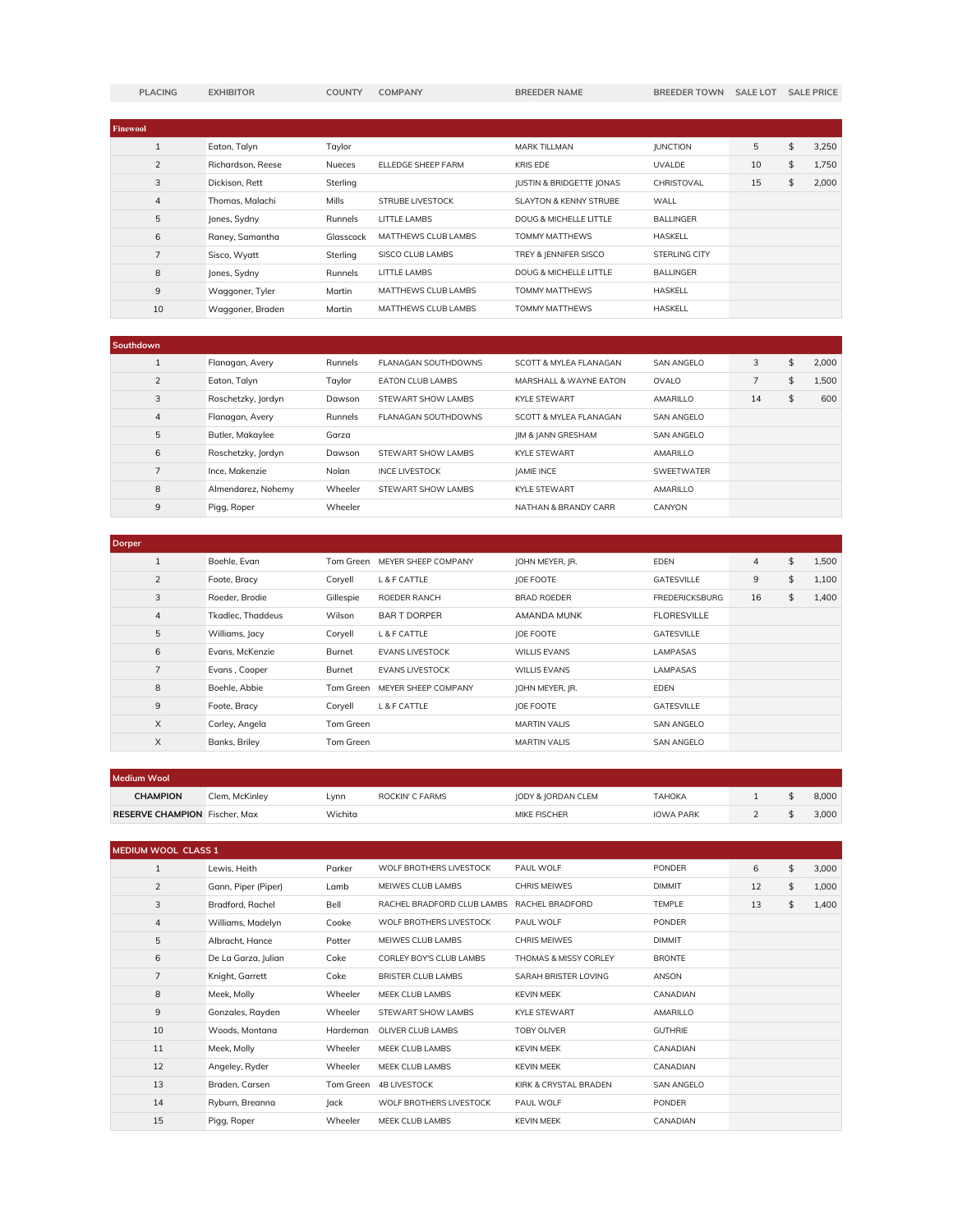|  | <b>LACING</b> |  |
|--|---------------|--|
|  |               |  |

**PLACING EXHIBITOR COUNTY COMPANY BREEDER NAME BREEDER TOWN SALE LOT SALE PRICE** 

| <b>Finewool</b> |                   |               |                         |                                     |                      |    |    |       |
|-----------------|-------------------|---------------|-------------------------|-------------------------------------|----------------------|----|----|-------|
|                 | Eaton, Talyn      | Taylor        |                         | <b>MARK TILLMAN</b>                 | <b>IUNCTION</b>      | 5  | \$ | 3.250 |
| $\mathcal{P}$   | Richardson, Reese | <b>Nueces</b> | ELLEDGE SHEEP FARM      | <b>KRIS EDE</b>                     | <b>UVALDE</b>        | 10 | \$ | 1.750 |
| 3               | Dickison, Rett    | Sterling      |                         | <b>JUSTIN &amp; BRIDGETTE JONAS</b> | CHRISTOVAL           | 15 | \$ | 2.000 |
| $\overline{4}$  | Thomas, Malachi   | <b>Mills</b>  | <b>STRUBE LIVESTOCK</b> | SLAYTON & KENNY STRUBE              | WALL                 |    |    |       |
| 5               | Jones, Sydny      | Runnels       | <b>LITTLE LAMBS</b>     | DOUG & MICHELLE LITTLE              | <b>BALLINGER</b>     |    |    |       |
| 6               | Raney, Samantha   | Glasscock     | MATTHEWS CLUB LAMBS     | TOMMY MATTHEWS                      | <b>HASKELL</b>       |    |    |       |
| $\overline{7}$  | Sisco, Wyatt      | Sterling      | SISCO CLUB LAMBS        | TREY & IENNIFER SISCO               | <b>STERLING CITY</b> |    |    |       |
| 8               | Jones, Sydny      | Runnels       | <b>LITTLE LAMBS</b>     | DOUG & MICHELLE LITTLE              | <b>BALLINGER</b>     |    |    |       |
| 9               | Waggoner, Tyler   | Martin        | MATTHEWS CLUB LAMBS     | TOMMY MATTHEWS                      | <b>HASKELL</b>       |    |    |       |
| 10              | Waaaoner, Braden  | Martin        | MATTHEWS CLUB LAMBS     | TOMMY MATTHEWS                      | <b>HASKELL</b>       |    |    |       |

| Southdown                |                    |         |                         |                               |                   |                |             |
|--------------------------|--------------------|---------|-------------------------|-------------------------------|-------------------|----------------|-------------|
|                          | Flanagan, Avery    | Runnels | FLANAGAN SOUTHDOWNS     | SCOTT & MYLEA FLANAGAN        | <b>SAN ANGELO</b> | 3              | \$<br>2.000 |
| $\overline{\phantom{0}}$ | Eaton, Talyn       | Tavlor  | <b>FATON CLUB LAMBS</b> | MARSHALL & WAYNE FATON        | OVAL O            | $\overline{7}$ | \$<br>1.500 |
| 3                        | Roschetzky, Jordyn | Dawson  | STEWART SHOW LAMBS      | KYI F STFWART                 | AMARILLO          | 14             | \$<br>600   |
| 4                        | Flanagan, Avery    | Runnels | FLANAGAN SOUTHDOWNS     | SCOTT & MYI FA FI ANAGAN      | <b>SAN ANGELO</b> |                |             |
| 5                        | Butler, Makaylee   | Garza   |                         | <b>IIM &amp; JANN GRESHAM</b> | SAN ANGELO        |                |             |
| 6                        | Roschetzky, Jordyn | Dawson  | STEWART SHOW LAMBS      | KYI F STFWART                 | AMARILLO          |                |             |
| $\overline{7}$           | Ince, Makenzie     | Nolan   | <b>INCE LIVESTOCK</b>   | <b>IAMIE INCE</b>             | <b>SWEETWATER</b> |                |             |
| 8                        | Almendarez, Nohemy | Wheeler | STEWART SHOW LAMBS      | KYI F STFWART                 | AMARILLO          |                |             |
| 9                        | Pigg, Roper        | Wheeler |                         | NATHAN & BRANDY CARR          | CANYON            |                |             |

| <b>Dorper</b>  |                          |           |                        |                     |                       |                |             |
|----------------|--------------------------|-----------|------------------------|---------------------|-----------------------|----------------|-------------|
|                | Boehle, Evan             | Tom Green | MEYER SHEEP COMPANY    | JOHN MEYER, JR.     | <b>EDEN</b>           | $\overline{4}$ | \$<br>1,500 |
| $\overline{2}$ | Foote, Bracy             | Coryell   | L & F CATTLE           | <b>JOE FOOTE</b>    | GATESVILLE            | 9              | \$<br>1,100 |
| 3              | Roeder, Brodie           | Gillespie | ROEDER RANCH           | <b>BRAD ROEDER</b>  | <b>FREDERICKSBURG</b> | 16             | \$<br>1,400 |
| 4              | <b>Tkadlec, Thaddeus</b> | Wilson    | <b>BART DORPER</b>     | AMANDA MUNK         | <b>FLORESVILLE</b>    |                |             |
| 5              | Williams, Jacy           | Coryell   | L & F CATTLE           | <b>JOE FOOTE</b>    | GATESVILLE            |                |             |
| 6              | Evans, McKenzie          | Burnet    | <b>EVANS LIVESTOCK</b> | <b>WILLIS EVANS</b> | <b>LAMPASAS</b>       |                |             |
| 7              | Evans, Cooper            | Burnet    | <b>EVANS LIVESTOCK</b> | <b>WILLIS EVANS</b> | <b>LAMPASAS</b>       |                |             |
| 8              | Boehle, Abbie            | Tom Green | MEYER SHEEP COMPANY    | JOHN MEYER, JR.     | <b>EDEN</b>           |                |             |
| 9              | Foote, Bracy             | Corvell   | L & F CATTLE           | <b>JOE FOOTE</b>    | <b>GATESVILLE</b>     |                |             |
| $\times$       | Corley, Angela           | Tom Green |                        | <b>MARTIN VALIS</b> | <b>SAN ANGELO</b>     |                |             |
| X              | Banks, Briley            | Tom Green |                        | <b>MARTIN VALIS</b> | <b>SAN ANGELO</b>     |                |             |

| Medium Wool                          |                |         |                 |                    |                  |  |       |
|--------------------------------------|----------------|---------|-----------------|--------------------|------------------|--|-------|
| <b>CHAMPION</b>                      | Clem. McKinley | _vnn    | ROCKIN' C FARMS | IODY & IORDAN CLEM | ТАНОКА           |  | 8.000 |
| <b>RESERVE CHAMPION</b> Fischer, Max |                | Wichita |                 | MIKE FISCHER       | <b>IOWA PARK</b> |  | 3.000 |

| <b>MEDIUM WOOL CLASS 1</b> |                     |           |                            |                       |                   |    |             |
|----------------------------|---------------------|-----------|----------------------------|-----------------------|-------------------|----|-------------|
| 1                          | Lewis, Heith        | Parker    | WOLF BROTHERS LIVESTOCK    | PAUL WOLF             | <b>PONDER</b>     | 6  | \$<br>3,000 |
| $\overline{2}$             | Gann, Piper (Piper) | Lamb      | MEIWES CLUB LAMBS          | <b>CHRIS MEIWES</b>   | <b>DIMMIT</b>     | 12 | \$<br>1,000 |
| 3                          | Bradford, Rachel    | Bell      | RACHEL BRADFORD CLUB LAMBS | RACHEL BRADFORD       | <b>TEMPLE</b>     | 13 | \$<br>1,400 |
| 4                          | Williams, Madelyn   | Cooke     | WOLF BROTHERS LIVESTOCK    | PAUL WOLF             | <b>PONDER</b>     |    |             |
| 5                          | Albracht, Hance     | Potter    | MEIWES CLUB LAMBS          | <b>CHRIS MEIWES</b>   | <b>DIMMIT</b>     |    |             |
| 6                          | De La Garza, Julian | Coke      | CORLEY BOY'S CLUB LAMBS    | THOMAS & MISSY CORLEY | <b>BRONTE</b>     |    |             |
| $\overline{7}$             | Knight, Garrett     | Coke      | BRISTER CLUB LAMBS         | SARAH BRISTER LOVING  | <b>ANSON</b>      |    |             |
| 8                          | Meek, Molly         | Wheeler   | MEEK CLUB LAMBS            | <b>KEVIN MEEK</b>     | CANADIAN          |    |             |
| 9                          | Gonzales, Rayden    | Wheeler   | STEWART SHOW LAMBS         | <b>KYLE STEWART</b>   | AMARILLO          |    |             |
| 10                         | Woods, Montana      | Hardeman  | OLIVER CLUB LAMBS          | <b>TOBY OLIVER</b>    | <b>GUTHRIE</b>    |    |             |
| 11                         | Meek, Molly         | Wheeler   | MEEK CLUB LAMBS            | <b>KEVIN MEEK</b>     | CANADIAN          |    |             |
| 12                         | Angeley, Ryder      | Wheeler   | MEEK CLUB LAMBS            | <b>KEVIN MEEK</b>     | CANADIAN          |    |             |
| 13                         | Braden, Carsen      | Tom Green | <b>4B LIVESTOCK</b>        | KIRK & CRYSTAL BRADEN | <b>SAN ANGELO</b> |    |             |
| 14                         | Ryburn, Breanna     | Jack      | WOLF BROTHERS LIVESTOCK    | PAUL WOLF             | <b>PONDER</b>     |    |             |
| 15                         | Pigg, Roper         | Wheeler   | MEEK CLUB LAMBS            | <b>KEVIN MEEK</b>     | CANADIAN          |    |             |